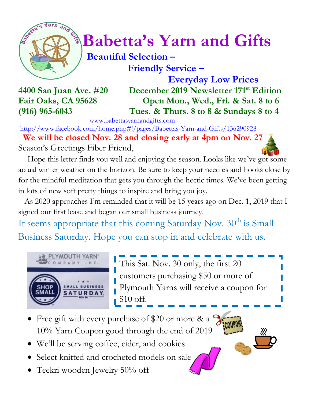

# $\int_{a}^{\frac{1}{2}} \sqrt{a^{2}}$  Babetta's Yarn and Gifts

### **Beautiful Selection – Friendly Service –**

 **Everyday Low Prices 4400 San Juan Ave. #20 December 2019 Newsletter 171 st Edition Fair Oaks, CA 95628 Open Mon., Wed., Fri. & Sat. 8 to 6 (916) 965-6043 Tues. & Thurs. 8 to 8 & Sundays 8 to 4**

[www.babettasyarnandgifts.com](http://www.babettasyarnandgifts.com/)

<http://www.facebook.com/home.php#!/pages/Babettas-Yarn-and-Gifts/136290928>

 **We will be closed Nov. 28 and closing early at 4pm on Nov. 27** Season's Greetings Fiber Friend,

 Hope this letter finds you well and enjoying the season. Looks like we've got some actual winter weather on the horizon. Be sure to keep your needles and hooks close by for the mindful meditation that gets you through the hectic times. We've been getting in lots of new soft pretty things to inspire and bring you joy.

 As 2020 approaches I'm reminded that it will be 15 years ago on Dec. 1, 2019 that I signed our first lease and began our small business journey.

It seems appropriate that this coming Saturday Nov. 30<sup>th</sup> is Small Business Saturday. Hope you can stop in and celebrate with us.



This Sat. Nov. 30 only, the first 20 customers purchasing \$50 or more of Plymouth Yarns will receive a coupon for \$10 off.

- Free gift with every purchase of \$20 or more & a 10% Yarn Coupon good through the end of 2019
- We'll be serving coffee, cider, and cookies
- Select knitted and crocheted models on sale
- Teekri wooden Jewelry 50% off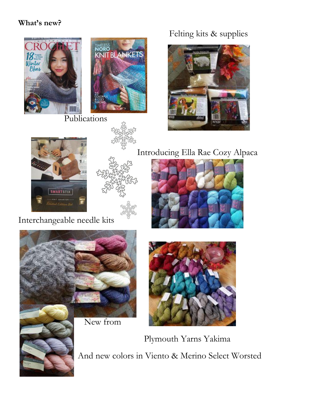#### **What's new?**



Publications

Felting kits & supplies





Introducing Ella Rae Cozy Alpaca



Interchangeable needle kits



New from



 Plymouth Yarns Yakima And new colors in Viento & Merino Select Worsted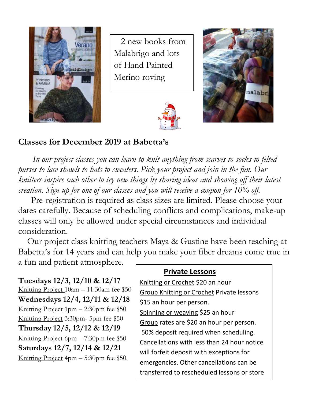

 2 new books from Malabrigo and lots of Hand Painted Merino roving





#### **Classes for December 2019 at Babetta's**

 *In our project classes you can learn to knit anything from scarves to socks to felted purses to lace shawls to hats to sweaters. Pick your project and join in the fun. Our knitters inspire each other to try new things by sharing ideas and showing off their latest creation. Sign up for one of our classes and you will receive a coupon for 10% off.*

Pre-registration is required as class sizes are limited. Please choose your dates carefully. Because of scheduling conflicts and complications, make-up classes will only be allowed under special circumstances and individual consideration.

Our project class knitting teachers Maya & Gustine have been teaching at Babetta's for 14 years and can help you make your fiber dreams come true in a fun and patient atmosphere.

credit.

**Tuesdays 12/3, 12/10 & 12/17** Knitting Project 10am – 11:30am fee \$50 **Wednesdays 12/4, 12/11 & 12/18** Knitting Project 1pm – 2:30pm fee \$50 Knitting Project 3:30pm- 5pm fee \$50 **Thursday 12/5, 12/12 & 12/19** Knitting Project 6pm – 7:30pm fee \$50 **Saturdays 12/7, 12/14 & 12/21** Knitting Project 4pm – 5:30pm fee \$50.

#### **Private Lessons**

Knitting or Crochet \$20 an hour Group Knitting or Crochet Private lessons \$15 an hour per person. Spinning or weaving \$25 an hour Group rates are \$20 an hour per person. 50% deposit required when scheduling. Cancellations with less than 24 hour notice will forfeit deposit with exceptions for emergencies. Other cancellations can be transferred to rescheduled lessons or store